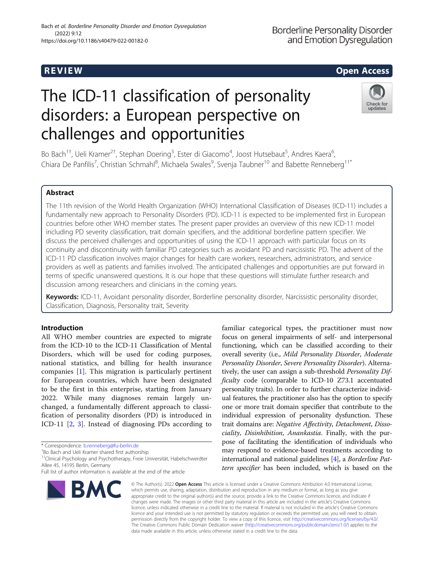# The ICD-11 classification of personality disorders: a European perspective on challenges and opportunities

Bo Bach<sup>1†</sup>, Ueli Kramer<sup>2†</sup>, Stephan Doering<sup>3</sup>, Ester di Giacomo<sup>4</sup>, Joost Hutsebaut<sup>5</sup>, Andres Kaera<sup>6</sup> , Chiara De Panfilis<sup>7</sup>, Christian Schmahl<sup>8</sup>, Michaela Swales<sup>9</sup>, Svenja Taubner<sup>10</sup> and Babette Renneberg<sup>11\*</sup>

### Abstract

The 11th revision of the World Health Organization (WHO) International Classification of Diseases (ICD-11) includes a fundamentally new approach to Personality Disorders (PD). ICD-11 is expected to be implemented first in European countries before other WHO member states. The present paper provides an overview of this new ICD-11 model including PD severity classification, trait domain specifiers, and the additional borderline pattern specifier. We discuss the perceived challenges and opportunities of using the ICD-11 approach with particular focus on its continuity and discontinuity with familiar PD categories such as avoidant PD and narcissistic PD. The advent of the ICD-11 PD classification involves major changes for health care workers, researchers, administrators, and service providers as well as patients and families involved. The anticipated challenges and opportunities are put forward in terms of specific unanswered questions. It is our hope that these questions will stimulate further research and discussion among researchers and clinicians in the coming years.

Keywords: ICD-11, Avoidant personality disorder, Borderline personality disorder, Narcissistic personality disorder, Classification, Diagnosis, Personality trait, Severity

#### Introduction

All WHO member countries are expected to migrate from the ICD-10 to the ICD-11 Classification of Mental Disorders, which will be used for coding purposes, national statistics, and billing for health insurance companies [\[1](#page-9-0)]. This migration is particularly pertinent for European countries, which have been designated to be the first in this enterprise, starting from January 2022. While many diagnoses remain largely unchanged, a fundamentally different approach to classification of personality disorders (PD) is introduced in ICD-11 [[2](#page-9-0), [3](#page-9-0)]. Instead of diagnosing PDs according to

\* Correspondence: [b.renneberg@fu-berlin.de](mailto:b.renneberg@fu-berlin.de) †

<sup>+</sup>Bo Bach and Ueli Kramer shared first authorship

**BMC** 

<sup>11</sup>Clinical Psychology and Psychotherapy, Freie Universität, Habelschwerdter Allee 45, 14195 Berlin, Germany



**Borderline Personality Disorder** and Emotion Dysregulation

### **REVIEW CONSULTER CONSULTER CONSULTER CONSULTER CONSULTER CONSULTER CONSULTER CONSULTER CONSULTER CONSULTER CONSULTER CONSULTER CONSULTER CONSULTER CONSULTER CONSULTER CONSULTER CONSULTER CONSULTER CONSULTER CONSULTER CONS**



familiar categorical types, the practitioner must now focus on general impairments of self- and interpersonal functioning, which can be classified according to their overall severity (i.e., Mild Personality Disorder, Moderate Personality Disorder, Severe Personality Disorder). Alternatively, the user can assign a sub-threshold *Personality Dif*ficulty code (comparable to ICD-10 Z73.1 accentuated personality traits). In order to further characterize individual features, the practitioner also has the option to specify one or more trait domain specifier that contribute to the individual expression of personality dysfunction. These trait domains are: Negative Affectivity, Detachment, Dissociality, Disinhibition, Anankastia. Finally, with the purpose of facilitating the identification of individuals who may respond to evidence-based treatments according to international and national guidelines [\[4](#page-9-0)], a Borderline Pattern specifier has been included, which is based on the

© The Author(s), 2022 **Open Access** This article is licensed under a Creative Commons Attribution 4.0 International License, which permits use, sharing, adaptation, distribution and reproduction in any medium or format, as long as you give appropriate credit to the original author(s) and the source, provide a link to the Creative Commons licence, and indicate if changes were made. The images or other third party material in this article are included in the article's Creative Commons licence, unless indicated otherwise in a credit line to the material. If material is not included in the article's Creative Commons licence and your intended use is not permitted by statutory regulation or exceeds the permitted use, you will need to obtain permission directly from the copyright holder. To view a copy of this licence, visit [http://creativecommons.org/licenses/by/4.0/.](http://creativecommons.org/licenses/by/4.0/) The Creative Commons Public Domain Dedication waiver [\(http://creativecommons.org/publicdomain/zero/1.0/](http://creativecommons.org/publicdomain/zero/1.0/)) applies to the data made available in this article, unless otherwise stated in a credit line to the data.

Full list of author information is available at the end of the article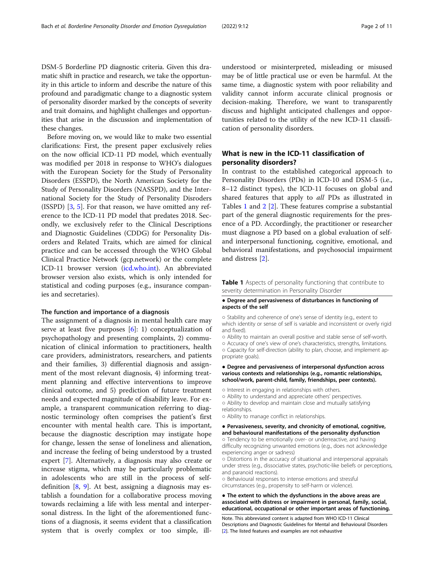DSM-5 Borderline PD diagnostic criteria. Given this dramatic shift in practice and research, we take the opportunity in this article to inform and describe the nature of this profound and paradigmatic change to a diagnostic system of personality disorder marked by the concepts of severity and trait domains, and highlight challenges and opportunities that arise in the discussion and implementation of these changes.

Before moving on, we would like to make two essential clarifications: First, the present paper exclusively relies on the now official ICD-11 PD model, which eventually was modified per 2018 in response to WHO's dialogues with the European Society for the Study of Personality Disorders (ESSPD), the North American Society for the Study of Personality Disorders (NASSPD), and the International Society for the Study of Personality Disroders (ISSPD) [\[3](#page-9-0), [5](#page-9-0)]. For that reason, we have omitted any reference to the ICD-11 PD model that predates 2018. Secondly, we exclusively refer to the Clinical Descriptions and Diagnostic Guidelines (CDDG) for Personality Disorders and Related Traits, which are aimed for clinical practice and can be accessed through the WHO Global Clinical Practice Network (gcp.network) or the complete ICD-11 browser version ([icd.who.int](http://icd.who.int)). An abbreviated browser version also exists, which is only intended for statistical and coding purposes (e.g., insurance companies and secretaries).

#### The function and importance of a diagnosis

The assignment of a diagnosis in mental health care may serve at least five purposes [\[6](#page-9-0)]: 1) conceptualization of psychopathology and presenting complaints, 2) communication of clinical information to practitioners, health care providers, administrators, researchers, and patients and their families, 3) differential diagnosis and assignment of the most relevant diagnosis, 4) informing treatment planning and effective interventions to improve clinical outcome, and 5) prediction of future treatment needs and expected magnitude of disability leave. For example, a transparent communication referring to diagnostic terminology often comprises the patient's first encounter with mental health care. This is important, because the diagnostic description may instigate hope for change, lessen the sense of loneliness and alienation, and increase the feeling of being understood by a trusted expert [[7\]](#page-9-0). Alternatively, a diagnosis may also create or increase stigma, which may be particularly problematic in adolescents who are still in the process of selfdefinition  $[8, 9]$  $[8, 9]$  $[8, 9]$  $[8, 9]$ . At best, assigning a diagnosis may establish a foundation for a collaborative process moving towards reclaiming a life with less mental and interpersonal distress. In the light of the aforementioned functions of a diagnosis, it seems evident that a classification system that is overly complex or too simple, ill-

understood or misinterpreted, misleading or misused may be of little practical use or even be harmful. At the same time, a diagnostic system with poor reliability and validity cannot inform accurate clinical prognosis or decision-making. Therefore, we want to transparently discuss and highlight anticipated challenges and opportunities related to the utility of the new ICD-11 classification of personality disorders.

#### What is new in the ICD-11 classification of personality disorders?

In contrast to the established categorical approach to Personality Disorders (PDs) in ICD-10 and DSM-5 (i.e., 8–12 distinct types), the ICD-11 focuses on global and shared features that apply to *all* PDs as illustrated in Tables 1 and [2](#page-2-0) [[2](#page-9-0)]. These features comprise a substantial part of the general diagnostic requirements for the presence of a PD. Accordingly, the practitioner or researcher must diagnose a PD based on a global evaluation of selfand interpersonal functioning, cognitive, emotional, and behavioral manifestations, and psychosocial impairment and distress [\[2](#page-9-0)].

Table 1 Aspects of personality functioning that contribute to severity determination in Personality Disorder

#### ● Degree and pervasiveness of disturbances in functioning of aspects of the self

○ Stability and coherence of one's sense of identity (e.g., extent to which identity or sense of self is variable and inconsistent or overly rigid and fixed).

○ Ability to maintain an overall positive and stable sense of self-worth. ○ Accuracy of one's view of one's characteristics, strengths, limitations. ○ Capacity for self-direction (ability to plan, choose, and implement appropriate goals).

#### ● Degree and pervasiveness of interpersonal dysfunction across various contexts and relationships (e.g., romantic relationships, school/work, parent-child, family, friendships, peer contexts).

○ Interest in engaging in relationships with others.

- Ability to understand and appreciate others' perspectives.
- Ability to develop and maintain close and mutually satisfying
- relationships. ○ Ability to manage conflict in relationships.

● Pervasiveness, severity, and chronicity of emotional, cognitive, and behavioural manifestations of the personality dysfunction ○ Tendency to be emotionally over- or underreactive, and having difficulty recognizing unwanted emotions (e.g., does not acknowledge

experiencing anger or sadness) ○ Distortions in the accuracy of situational and interpersonal appraisals

under stress (e.g., dissociative states, psychotic-like beliefs or perceptions, and paranoid reactions).

○ Behavioural responses to intense emotions and stressful circumstances (e.g., propensity to self-harm or violence).

#### ● The extent to which the dysfunctions in the above areas are associated with distress or impairment in personal, family, social, educational, occupational or other important areas of functioning.

Note. This abbreviated content is adapted from WHO ICD-11 Clinical Descriptions and Diagnostic Guidelines for Mental and Behavioural Disorders [[2](#page-9-0)]. The listed features and examples are not exhaustive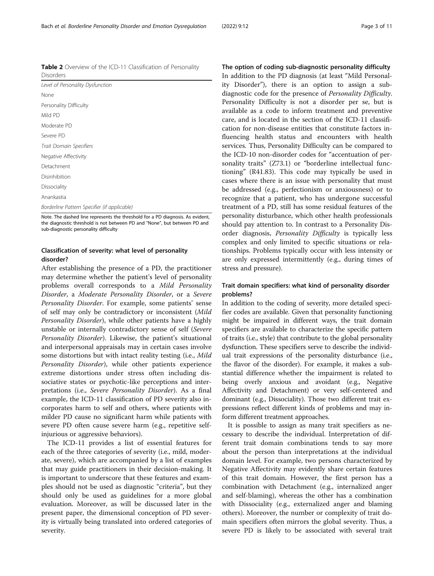Note. The dashed line represents the threshold for a PD diagnosis. As evident, the diagnostic threshold is not between PD and "None", but between PD and sub-diagnostic personality difficulty

#### Classification of severity: what level of personality disorder?

After establishing the presence of a PD, the practitioner may determine whether the patient's level of personality problems overall corresponds to a Mild Personality Disorder, a Moderate Personality Disorder, or a Severe Personality Disorder. For example, some patients' sense of self may only be contradictory or inconsistent (Mild Personality Disorder), while other patients have a highly unstable or internally contradictory sense of self (Severe Personality Disorder). Likewise, the patient's situational and interpersonal appraisals may in certain cases involve some distortions but with intact reality testing (i.e., *Mild* Personality Disorder), while other patients experience extreme distortions under stress often including dissociative states or psychotic-like perceptions and interpretations (i.e., Severe Personality Disorder). As a final example, the ICD-11 classification of PD severity also incorporates harm to self and others, where patients with milder PD cause no significant harm while patients with severe PD often cause severe harm (e.g., repetitive selfinjurious or aggressive behaviors).

The ICD-11 provides a list of essential features for each of the three categories of severity (i.e., mild, moderate, severe), which are accompanied by a list of examples that may guide practitioners in their decision-making. It is important to underscore that these features and examples should not be used as diagnostic "criteria", but they should only be used as guidelines for a more global evaluation. Moreover, as will be discussed later in the present paper, the dimensional conception of PD severity is virtually being translated into ordered categories of severity.

The option of coding sub-diagnostic personality difficulty In addition to the PD diagnosis (at least "Mild Personality Disorder"), there is an option to assign a subdiagnostic code for the presence of Personality Difficulty. Personality Difficulty is not a disorder per se, but is available as a code to inform treatment and preventive care, and is located in the section of the ICD-11 classification for non-disease entities that constitute factors influencing health status and encounters with health services. Thus, Personality Difficulty can be compared to the ICD-10 non-disorder codes for "accentuation of personality traits" (Z73.1) or "borderline intellectual functioning" (R41.83). This code may typically be used in cases where there is an issue with personality that must be addressed (e.g., perfectionism or anxiousness) or to recognize that a patient, who has undergone successful treatment of a PD, still has some residual features of the personality disturbance, which other health professionals should pay attention to. In contrast to a Personality Disorder diagnosis, Personality Difficulty is typically less complex and only limited to specific situations or relationships. Problems typically occur with less intensity or are only expressed intermittently (e.g., during times of stress and pressure).

#### Trait domain specifiers: what kind of personality disorder problems?

In addition to the coding of severity, more detailed specifier codes are available. Given that personality functioning might be impaired in different ways, the trait domain specifiers are available to characterize the specific pattern of traits (i.e., style) that contribute to the global personality dysfunction. These specifiers serve to describe the individual trait expressions of the personality disturbance (i.e., the flavor of the disorder). For example, it makes a substantial difference whether the impairment is related to being overly anxious and avoidant (e.g., Negative Affectivity and Detachment) or very self-centered and dominant (e.g., Dissociality). Those two different trait expressions reflect different kinds of problems and may inform different treatment approaches.

It is possible to assign as many trait specifiers as necessary to describe the individual. Interpretation of different trait domain combinations tends to say more about the person than interpretations at the individual domain level. For example, two persons characterized by Negative Affectivity may evidently share certain features of this trait domain. However, the first person has a combination with Detachment (e.g., internalized anger and self-blaming), whereas the other has a combination with Dissociality (e.g., externalized anger and blaming others). Moreover, the number or complexity of trait domain specifiers often mirrors the global severity. Thus, a severe PD is likely to be associated with several trait

<span id="page-2-0"></span>Table 2 Overview of the ICD-11 Classification of Personality Disorders

| Level of Personality Dysfunction             |
|----------------------------------------------|
|                                              |
| None                                         |
| Personality Difficulty                       |
| Mild PD                                      |
| Moderate PD                                  |
| Severe PD                                    |
| Trait Domain Specifiers                      |
| Negative Affectivity                         |
| Detachment                                   |
| Disinhibition                                |
| Dissociality                                 |
| Anankastia                                   |
| Borderline Pattern Specifier (if applicable) |
| .<br>.                                       |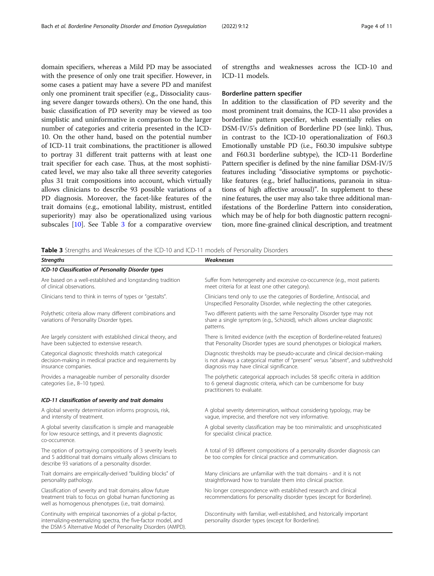domain specifiers, whereas a Mild PD may be associated with the presence of only one trait specifier. However, in some cases a patient may have a severe PD and manifest only one prominent trait specifier (e.g., Dissociality causing severe danger towards others). On the one hand, this basic classification of PD severity may be viewed as too simplistic and uninformative in comparison to the larger number of categories and criteria presented in the ICD-10. On the other hand, based on the potential number of ICD-11 trait combinations, the practitioner is allowed to portray 31 different trait patterns with at least one trait specifier for each case. Thus, at the most sophisticated level, we may also take all three severity categories plus 31 trait compositions into account, which virtually allows clinicians to describe 93 possible variations of a PD diagnosis. Moreover, the facet-like features of the trait domains (e.g., emotional lability, mistrust, entitled superiority) may also be operationalized using various subscales [[10\]](#page-9-0). See Table 3 for a comparative overview of strengths and weaknesses across the ICD-10 and ICD-11 models.

#### Borderline pattern specifier

In addition to the classification of PD severity and the most prominent trait domains, the ICD-11 also provides a borderline pattern specifier, which essentially relies on DSM-IV/5's definition of Borderline PD (see link). Thus, in contrast to the ICD-10 operationalization of F60.3 Emotionally unstable PD (i.e., F60.30 impulsive subtype and F60.31 borderline subtype), the ICD-11 Borderline Pattern specifier is defined by the nine familiar DSM-IV/5 features including "dissociative symptoms or psychoticlike features (e.g., brief hallucinations, paranoia in situations of high affective arousal)". In supplement to these nine features, the user may also take three additional manifestations of the Borderline Pattern into consideration, which may be of help for both diagnostic pattern recognition, more fine-grained clinical description, and treatment

Table 3 Strengths and Weaknesses of the ICD-10 and ICD-11 models of Personality Disorders

| <b>Strengths</b>                                                                                                                                                                              | Weaknesses                                                                                                                                                                                                  |
|-----------------------------------------------------------------------------------------------------------------------------------------------------------------------------------------------|-------------------------------------------------------------------------------------------------------------------------------------------------------------------------------------------------------------|
| ICD-10 Classification of Personality Disorder types                                                                                                                                           |                                                                                                                                                                                                             |
| Are based on a well-established and longstanding tradition<br>of clinical observations.                                                                                                       | Suffer from heterogeneity and excessive co-occurrence (e.g., most patients<br>meet criteria for at least one other category).                                                                               |
| Clinicians tend to think in terms of types or "gestalts".                                                                                                                                     | Clinicians tend only to use the categories of Borderline, Antisocial, and<br>Unspecified Personality Disorder, while neglecting the other categories.                                                       |
| Polythetic criteria allow many different combinations and<br>variations of Personality Disorder types.                                                                                        | Two different patients with the same Personality Disorder type may not<br>share a single symptom (e.g., Schizoid), which allows unclear diagnostic<br>patterns.                                             |
| Are largely consistent with established clinical theory, and<br>have been subjected to extensive research.                                                                                    | There is limited evidence (with the exception of Borderline-related features)<br>that Personality Disorder types are sound phenotypes or biological markers.                                                |
| Categorical diagnostic thresholds match categorical<br>decision-making in medical practice and requirements by<br>insurance companies.                                                        | Diagnostic thresholds may be pseudo-accurate and clinical decision-making<br>is not always a categorical matter of "present" versus "absent", and subthreshold<br>diagnosis may have clinical significance. |
| Provides a manageable number of personality disorder<br>categories (i.e., 8-10 types).                                                                                                        | The polythetic categorical approach includes 58 specific criteria in addition<br>to 6 general diagnostic criteria, which can be cumbersome for busy<br>practitioners to evaluate.                           |
| ICD-11 classification of severity and trait domains                                                                                                                                           |                                                                                                                                                                                                             |
| A global severity determination informs prognosis, risk,<br>and intensity of treatment.                                                                                                       | A global severity determination, without considering typology, may be<br>vaque, imprecise, and therefore not very informative.                                                                              |
| A global severity classification is simple and manageable<br>for low resource settings, and it prevents diagnostic<br>co-occurrence.                                                          | A global severity classification may be too minimalistic and unsophisticated<br>for specialist clinical practice.                                                                                           |
| The option of portraying compositions of 3 severity levels<br>and 5 additional trait domains virtually allows clinicians to<br>describe 93 variations of a personality disorder.              | A total of 93 different compositions of a personality disorder diagnosis can<br>be too complex for clinical practice and communication.                                                                     |
| Trait domains are empirically-derived "building blocks" of<br>personality pathology.                                                                                                          | Many clinicians are unfamiliar with the trait domains - and it is not<br>straightforward how to translate them into clinical practice.                                                                      |
| Classification of severity and trait domains allow future<br>treatment trials to focus on global human functioning as<br>well as homogenous phenotypes (i.e., trait domains).                 | No longer correspondence with established research and clinical<br>recommendations for personality disorder types (except for Borderline).                                                                  |
| Continuity with empirical taxonomies of a global p-factor,<br>internalizing-externalizing spectra, the five-factor model, and<br>the DSM-5 Alternative Model of Personality Disorders (AMPD). | Discontinuity with familiar, well-established, and historically important<br>personality disorder types (except for Borderline).                                                                            |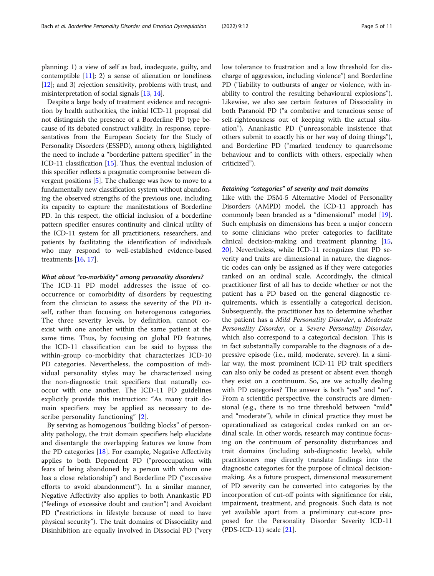planning: 1) a view of self as bad, inadequate, guilty, and contemptible [[11](#page-9-0)]; 2) a sense of alienation or loneliness [[12](#page-9-0)]; and 3) rejection sensitivity, problems with trust, and misinterpretation of social signals [\[13,](#page-9-0) [14](#page-9-0)].

Despite a large body of treatment evidence and recognition by health authorities, the initial ICD-11 proposal did not distinguish the presence of a Borderline PD type because of its debated construct validity. In response, representatives from the European Society for the Study of Personality Disorders (ESSPD), among others, highlighted the need to include a "borderline pattern specifier" in the ICD-11 classification [[15](#page-9-0)]. Thus, the eventual inclusion of this specifier reflects a pragmatic compromise between divergent positions [[5\]](#page-9-0). The challenge was how to move to a fundamentally new classification system without abandoning the observed strengths of the previous one, including its capacity to capture the manifestations of Borderline PD. In this respect, the official inclusion of a borderline pattern specifier ensures continuity and clinical utility of the ICD-11 system for all practitioners, researchers, and patients by facilitating the identification of individuals who may respond to well-established evidence-based treatments [\[16,](#page-9-0) [17](#page-9-0)].

#### What about "co-morbidity" among personality disorders?

The ICD-11 PD model addresses the issue of cooccurrence or comorbidity of disorders by requesting from the clinician to assess the severity of the PD itself, rather than focusing on heterogenous categories. The three severity levels, by definition, cannot coexist with one another within the same patient at the same time. Thus, by focusing on global PD features, the ICD-11 classification can be said to bypass the within-group co-morbidity that characterizes ICD-10 PD categories. Nevertheless, the composition of individual personality styles may be characterized using the non-diagnostic trait specifiers that naturally cooccur with one another. The ICD-11 PD guidelines explicitly provide this instruction: "As many trait domain specifiers may be applied as necessary to describe personality functioning" [\[2](#page-9-0)].

By serving as homogenous "building blocks" of personality pathology, the trait domain specifiers help elucidate and disentangle the overlapping features we know from the PD categories [\[18](#page-9-0)]. For example, Negative Affectivity applies to both Dependent PD ("preoccupation with fears of being abandoned by a person with whom one has a close relationship") and Borderline PD ("excessive efforts to avoid abandonment"). In a similar manner, Negative Affectivity also applies to both Anankastic PD ("feelings of excessive doubt and caution") and Avoidant PD ("restrictions in lifestyle because of need to have physical security"). The trait domains of Dissociality and Disinhibition are equally involved in Dissocial PD ("very low tolerance to frustration and a low threshold for discharge of aggression, including violence") and Borderline PD ("liability to outbursts of anger or violence, with inability to control the resulting behavioural explosions"). Likewise, we also see certain features of Dissociality in both Paranoid PD ("a combative and tenacious sense of self-righteousness out of keeping with the actual situation"), Anankastic PD ("unreasonable insistence that others submit to exactly his or her way of doing things"), and Borderline PD ("marked tendency to quarrelsome behaviour and to conflicts with others, especially when criticized").

#### Retaining "categories" of severity and trait domains

Like with the DSM-5 Alternative Model of Personality Disorders (AMPD) model, the ICD-11 approach has commonly been branded as a "dimensional" model [\[19](#page-9-0)]. Such emphasis on dimensions has been a major concern to some clinicians who prefer categories to facilitate clinical decision-making and treatment planning [[15](#page-9-0), [20\]](#page-9-0). Nevertheless, while ICD-11 recognizes that PD severity and traits are dimensional in nature, the diagnostic codes can only be assigned as if they were categories ranked on an ordinal scale. Accordingly, the clinical practitioner first of all has to decide whether or not the patient has a PD based on the general diagnostic requirements, which is essentially a categorical decision. Subsequently, the practitioner has to determine whether the patient has a Mild Personality Disorder, a Moderate Personality Disorder, or a Severe Personality Disorder, which also correspond to a categorical decision. This is in fact substantially comparable to the diagnosis of a depressive episode (i.e., mild, moderate, severe). In a similar way, the most prominent ICD-11 PD trait specifiers can also only be coded as present or absent even though they exist on a continuum. So, are we actually dealing with PD categories? The answer is both "yes" and "no". From a scientific perspective, the constructs are dimensional (e.g., there is no true threshold between "mild" and "moderate"), while in clinical practice they must be operationalized as categorical codes ranked on an ordinal scale. In other words, research may continue focusing on the continuum of personality disturbances and trait domains (including sub-diagnostic levels), while practitioners may directly translate findings into the diagnostic categories for the purpose of clinical decisionmaking. As a future prospect, dimensional measurement of PD severity can be converted into categories by the incorporation of cut-off points with significance for risk, impairment, treatment, and prognosis. Such data is not yet available apart from a preliminary cut-score proposed for the Personality Disorder Severity ICD-11 (PDS-ICD-11) scale [\[21](#page-9-0)].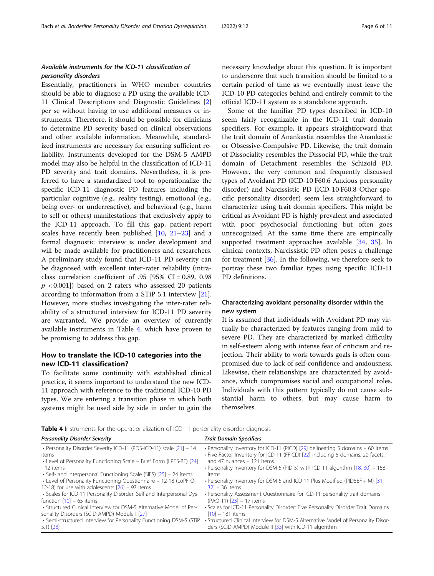#### <span id="page-5-0"></span>Available instruments for the ICD-11 classification of personality disorders

Essentially, practitioners in WHO member countries should be able to diagnose a PD using the available ICD-11 Clinical Descriptions and Diagnostic Guidelines [\[2](#page-9-0)] per se without having to use additional measures or instruments. Therefore, it should be possible for clinicians to determine PD severity based on clinical observations and other available information. Meanwhile, standardized instruments are necessary for ensuring sufficient reliability. Instruments developed for the DSM-5 AMPD model may also be helpful in the classification of ICD-11 PD severity and trait domains. Nevertheless, it is preferred to have a standardized tool to operationalize the specific ICD-11 diagnostic PD features including the particular cognitive (e.g., reality testing), emotional (e.g., being over- or underreactive), and behavioral (e.g., harm to self or others) manifestations that exclusively apply to the ICD-11 approach. To fill this gap, patient-report scales have recently been published [\[10](#page-9-0), [21](#page-9-0)–[23\]](#page-9-0) and a formal diagnostic interview is under development and will be made available for practitioners and researchers. A preliminary study found that ICD-11 PD severity can be diagnosed with excellent inter-rater reliability (intraclass correlation coefficient of .95 [95%  $CI = 0.89$ , 0.98  $p < 0.001$ ]) based on 2 raters who assessed 20 patients according to information from a STiP 5.1 interview [\[21](#page-9-0)]. However, more studies investigating the inter-rater reliability of a structured interview for ICD-11 PD severity are warranted. We provide an overview of currently available instruments in Table 4, which have proven to be promising to address this gap.

#### How to translate the ICD-10 categories into the new ICD-11 classification?

To facilitate some continuity with established clinical practice, it seems important to understand the new ICD-11 approach with reference to the traditional ICD-10 PD types. We are entering a transition phase in which both systems might be used side by side in order to gain the necessary knowledge about this question. It is important to underscore that such transition should be limited to a certain period of time as we eventually must leave the ICD-10 PD categories behind and entirely commit to the official ICD-11 system as a standalone approach.

Some of the familiar PD types described in ICD-10 seem fairly recognizable in the ICD-11 trait domain specifiers. For example, it appears straightforward that the trait domain of Anankastia resembles the Anankastic or Obsessive-Compulsive PD. Likewise, the trait domain of Dissociality resembles the Dissocial PD, while the trait domain of Detachment resembles the Schizoid PD. However, the very common and frequently discussed types of Avoidant PD (ICD-10 F60.6 Anxious personality disorder) and Narcissistic PD (ICD-10 F60.8 Other specific personality disorder) seem less straightforward to characterize using trait domain specifiers. This might be critical as Avoidant PD is highly prevalent and associated with poor psychosocial functioning but often goes unrecognized. At the same time there are empirically supported treatment approaches available [[34,](#page-10-0) [35](#page-10-0)]. In clinical contexts, Narcissistic PD often poses a challenge for treatment [[36\]](#page-10-0). In the following, we therefore seek to portray these two familiar types using specific ICD-11 PD definitions.

#### Characterizing avoidant personality disorder within the new system

It is assumed that individuals with Avoidant PD may virtually be characterized by features ranging from mild to severe PD. They are characterized by marked difficulty in self-esteem along with intense fear of criticism and rejection. Their ability to work towards goals is often compromised due to lack of self-confidence and anxiousness. Likewise, their relationships are characterized by avoidance, which compromises social and occupational roles. Individuals with this pattern typically do not cause substantial harm to others, but may cause harm to themselves.

Table 4 Instruments for the operationalization of ICD-11 personality disorder diagnosis

| <b>Personality Disorder Severity</b>                                  | <b>Trait Domain Specifiers</b>                                                    |
|-----------------------------------------------------------------------|-----------------------------------------------------------------------------------|
| • Personality Disorder Severity ICD-11 (PDS-ICD-11) scale [21] - 14   | • Personality Inventory for ICD-11 (PiCD) [29] delineating 5 domains - 60 items   |
| items                                                                 | • Five-Factor Inventory for ICD-11 (FFiCD) [22] including 5 domains, 20 facets,   |
| • Level of Personality Functioning Scale – Brief Form (LPFS-BF) [24]  | and 47 nuances - 121 items                                                        |
| - 12 items                                                            | · Personality Inventory for DSM-5 (PID-5) with ICD-11 algorithm [18, 30] - 158    |
| • Self- and Interpersonal Functioning Scale (SIFS) $[25]$ – 24 items  | items                                                                             |
| • Level of Personality Functioning Questionnaire - 12-18 (LoPF-Q-     | • Personality Inventory for DSM-5 and ICD-11 Plus Modified (PID5BF + M) [31,      |
| 12-18) for use with adolescents $[26]$ – 97 items                     | $321 - 36$ items                                                                  |
| • Scales for ICD-11 Personality Disorder: Self and Interpersonal Dys- | • Personality Assessment Questionnaire for ICD-11 personality trait domains       |
| function $[10] - 65$ items                                            | (PAQ-11) [23] - 17 items                                                          |
| • Structured Clinical Interview for DSM-5 Alternative Model of Per-   | • Scales for ICD-11 Personality Disorder: Five Personality Disorder Trait Domains |
| sonality Disorders (SCID-AMPD) Module I [27]                          | $[10] - 181$ items                                                                |
| • Semi-structured interview for Personality Functioning DSM-5 (STiP   | • Structured Clinical Interview for DSM-5 Alternative Model of Personality Disor- |
| $5.1)$ [28]                                                           | ders (SCID-AMPD) Module II [33] with ICD-11 algorithm                             |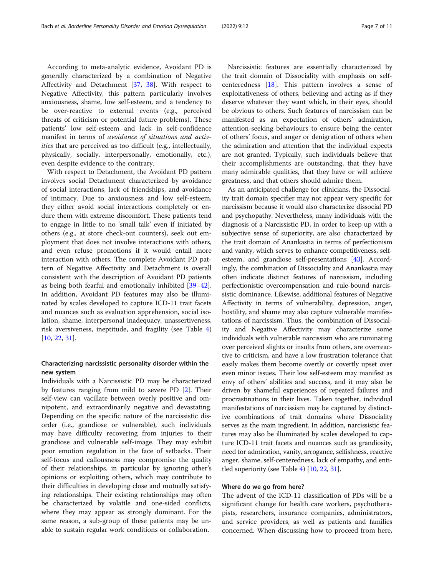According to meta-analytic evidence, Avoidant PD is generally characterized by a combination of Negative Affectivity and Detachment [\[37](#page-10-0), [38](#page-10-0)]. With respect to Negative Affectivity, this pattern particularly involves anxiousness, shame, low self-esteem, and a tendency to be over-reactive to external events (e.g., perceived threats of criticism or potential future problems). These patients' low self-esteem and lack in self-confidence manifest in terms of avoidance of situations and activities that are perceived as too difficult (e.g., intellectually, physically, socially, interpersonally, emotionally, etc.), even despite evidence to the contrary.

With respect to Detachment, the Avoidant PD pattern involves social Detachment characterized by avoidance of social interactions, lack of friendships, and avoidance of intimacy. Due to anxiousness and low self-esteem, they either avoid social interactions completely or endure them with extreme discomfort. These patients tend to engage in little to no 'small talk' even if initiated by others (e.g., at store check-out counters), seek out employment that does not involve interactions with others, and even refuse promotions if it would entail more interaction with others. The complete Avoidant PD pattern of Negative Affectivity and Detachment is overall consistent with the description of Avoidant PD patients as being both fearful and emotionally inhibited [[39](#page-10-0)–[42](#page-10-0)]. In addition, Avoidant PD features may also be illuminated by scales developed to capture ICD-11 trait facets and nuances such as evaluation apprehension, social isolation, shame, interpersonal inadequacy, unassertiveness, risk aversiveness, ineptitude, and fragility (see Table [4](#page-5-0)) [[10,](#page-9-0) [22,](#page-9-0) [31](#page-10-0)].

#### Characterizing narcissistic personality disorder within the new system

Individuals with a Narcissistic PD may be characterized by features ranging from mild to severe PD [\[2](#page-9-0)]. Their self-view can vacillate between overly positive and omnipotent, and extraordinarily negative and devastating. Depending on the specific nature of the narcissistic disorder (i.e., grandiose or vulnerable), such individuals may have difficulty recovering from injuries to their grandiose and vulnerable self-image. They may exhibit poor emotion regulation in the face of setbacks. Their self-focus and callousness may compromise the quality of their relationships, in particular by ignoring other's opinions or exploiting others, which may contribute to their difficulties in developing close and mutually satisfying relationships. Their existing relationships may often be characterized by volatile and one-sided conflicts, where they may appear as strongly dominant. For the same reason, a sub-group of these patients may be unable to sustain regular work conditions or collaboration.

Narcissistic features are essentially characterized by the trait domain of Dissociality with emphasis on selfcenteredness [\[18](#page-9-0)]. This pattern involves a sense of exploitativeness of others, believing and acting as if they deserve whatever they want which, in their eyes, should be obvious to others. Such features of narcissism can be manifested as an expectation of others' admiration, attention-seeking behaviours to ensure being the center of others' focus, and anger or denigration of others when the admiration and attention that the individual expects are not granted. Typically, such individuals believe that their accomplishments are outstanding, that they have many admirable qualities, that they have or will achieve greatness, and that others should admire them.

As an anticipated challenge for clinicians, the Dissociality trait domain specifier may not appear very specific for narcissism because it would also characterize dissocial PD and psychopathy. Nevertheless, many individuals with the diagnosis of a Narcissistic PD, in order to keep up with a subjective sense of superiority, are also characterized by the trait domain of Anankastia in terms of perfectionism and vanity, which serves to enhance competitiveness, selfesteem, and grandiose self-presentations [\[43\]](#page-10-0). Accordingly, the combination of Dissociality and Anankastia may often indicate distinct features of narcissism, including perfectionistic overcompensation and rule-bound narcissistic dominance. Likewise, additional features of Negative Affectivity in terms of vulnerability, depression, anger, hostility, and shame may also capture vulnerable manifestations of narcissism. Thus, the combination of Dissociality and Negative Affectivity may characterize some individuals with vulnerable narcissism who are ruminating over perceived slights or insults from others, are overreactive to criticism, and have a low frustration tolerance that easily makes them become overtly or covertly upset over even minor issues. Their low self-esteem may manifest as envy of others' abilities and success, and it may also be driven by shameful experiences of repeated failures and procrastinations in their lives. Taken together, individual manifestations of narcissism may be captured by distinctive combinations of trait domains where Dissociality serves as the main ingredient. In addition, narcissistic features may also be illuminated by scales developed to capture ICD-11 trait facets and nuances such as grandiosity, need for admiration, vanity, arrogance, selfishness, reactive anger, shame, self-centeredness, lack of empathy, and entitled superiority (see Table [4\)](#page-5-0) [[10](#page-9-0), [22,](#page-9-0) [31](#page-10-0)].

#### Where do we go from here?

The advent of the ICD-11 classification of PDs will be a significant change for health care workers, psychotherapists, researchers, insurance companies, administrators, and service providers, as well as patients and families concerned. When discussing how to proceed from here,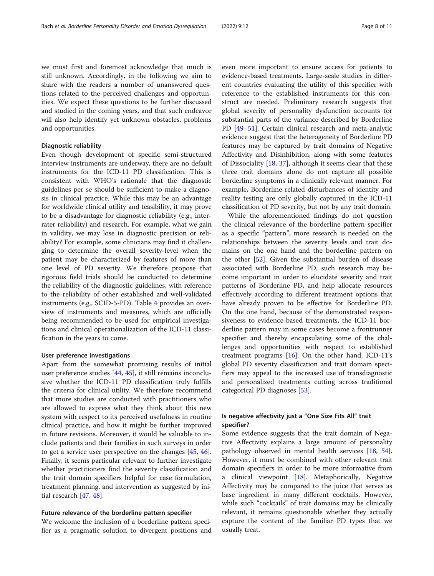we must first and foremost acknowledge that much is still unknown. Accordingly, in the following we aim to share with the readers a number of unanswered questions related to the perceived challenges and opportunities. We expect these questions to be further discussed and studied in the coming years, and that such endeavor will also help identify yet unknown obstacles, problems and opportunities.

#### Diagnostic reliability

Even though development of specific semi-structured interview instruments are underway, there are no default instruments for the ICD-11 PD classification. This is consistent with WHO's rationale that the diagnostic guidelines per se should be sufficient to make a diagnosis in clinical practice. While this may be an advantage for worldwide clinical utility and feasibility, it may prove to be a disadvantage for diagnostic reliability (e.g., interrater reliability) and research. For example, what we gain in validity, we may lose in diagnostic precision or reliability? For example, some clinicians may find it challenging to determine the overall severity-level when the patient may be characterized by features of more than one level of PD severity. We therefore propose that rigorous field trials should be conducted to determine the reliability of the diagnostic guidelines, with reference to the reliability of other established and well-validated instruments (e.g., SCID-5-PD). Table [4](#page-5-0) provides an overview of instruments and measures, which are officially being recommended to be used for empirical investigations and clinical operationalization of the ICD-11 classification in the years to come.

#### User preference investigations

Apart from the somewhat promising results of initial user preference studies [\[44,](#page-10-0) [45\]](#page-10-0), it still remains inconclusive whether the ICD-11 PD classification truly fulfills the criteria for clinical utility. We therefore recommend that more studies are conducted with practitioners who are allowed to express what they think about this new system with respect to its perceived usefulness in routine clinical practice, and how it might be further improved in future revisions. Moreover, it would be valuable to include patients and their families in such surveys in order to get a service user perspective on the changes [\[45](#page-10-0), [46](#page-10-0)]. Finally, it seems particular relevant to further investigate whether practitioners find the severity classification and the trait domain specifiers helpful for case formulation, treatment planning, and intervention as suggested by initial research [\[47](#page-10-0), [48](#page-10-0)].

#### Future relevance of the borderline pattern specifier

We welcome the inclusion of a borderline pattern specifier as a pragmatic solution to divergent positions and even more important to ensure access for patients to evidence-based treatments. Large-scale studies in different countries evaluating the utility of this specifier with reference to the established instruments for this construct are needed. Preliminary research suggests that global severity of personality dysfunction accounts for substantial parts of the variance described by Borderline PD [[49](#page-10-0)–[51](#page-10-0)]. Certain clinical research and meta-analytic evidence suggest that the heterogeneity of Borderline PD features may be captured by trait domains of Negative Affectivity and Disinhibition, along with some features of Dissociality [\[18,](#page-9-0) [37\]](#page-10-0), although it seems clear that these three trait domains alone do not capture all possible borderline symptoms in a clinically relevant manner. For example, Borderline-related disturbances of identity and reality testing are only globally captured in the ICD-11 classification of PD severity, but not by any trait domain.

While the aforementioned findings do not question the clinical relevance of the borderline pattern specifier as a specific "pattern", more research is needed on the relationships between the severity levels and trait domains on the one hand and the borderline pattern on the other [\[52\]](#page-10-0). Given the substantial burden of disease associated with Borderline PD, such research may become important in order to elucidate severity and trait patterns of Borderline PD, and help allocate resources effectively according to different treatment options that have already proven to be effective for Borderline PD. On the one hand, because of the demonstrated responsiveness to evidence-based treatments, the ICD-11 borderline pattern may in some cases become a frontrunner specifier and thereby encapsulating some of the challenges and opportunities with respect to established treatment programs [\[16](#page-9-0)]. On the other hand, ICD-11's global PD severity classification and trait domain specifiers may appeal to the increased use of transdiagnostic and personalized treatments cutting across traditional categorical PD diagnoses [[53](#page-10-0)].

#### Is negative affectivity just a "One Size Fits All" trait specifier?

Some evidence suggests that the trait domain of Negative Affectivity explains a large amount of personality pathology observed in mental health services [[18](#page-9-0), [54](#page-10-0)]. However, it must be combined with other relevant trait domain specifiers in order to be more informative from a clinical viewpoint [\[18\]](#page-9-0). Metaphorically, Negative Affectivity may be compared to the juice that serves as base ingredient in many different cocktails. However, while such "cocktails" of trait domains may be clinically relevant, it remains questionable whether they actually capture the content of the familiar PD types that we usually treat.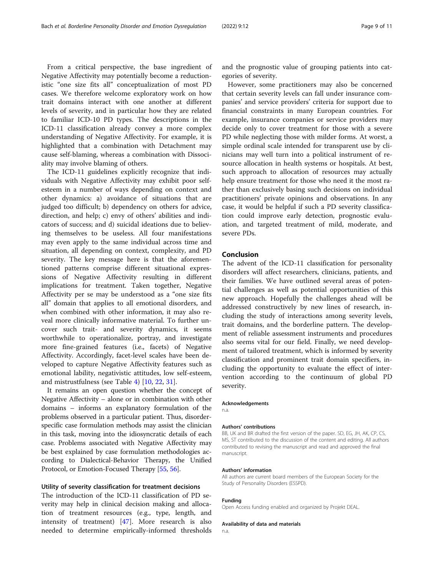From a critical perspective, the base ingredient of Negative Affectivity may potentially become a reductionistic "one size fits all" conceptualization of most PD cases. We therefore welcome exploratory work on how trait domains interact with one another at different levels of severity, and in particular how they are related to familiar ICD-10 PD types. The descriptions in the ICD-11 classification already convey a more complex understanding of Negative Affectivity. For example, it is highlighted that a combination with Detachment may cause self-blaming, whereas a combination with Dissociality may involve blaming of others.

The ICD-11 guidelines explicitly recognize that individuals with Negative Affectivity may exhibit poor selfesteem in a number of ways depending on context and other dynamics: a) avoidance of situations that are judged too difficult; b) dependency on others for advice, direction, and help; c) envy of others' abilities and indicators of success; and d) suicidal ideations due to believing themselves to be useless. All four manifestations may even apply to the same individual across time and situation, all depending on context, complexity, and PD severity. The key message here is that the aforementioned patterns comprise different situational expressions of Negative Affectivity resulting in different implications for treatment. Taken together, Negative Affectivity per se may be understood as a "one size fits all" domain that applies to all emotional disorders, and when combined with other information, it may also reveal more clinically informative material. To further uncover such trait- and severity dynamics, it seems worthwhile to operationalize, portray, and investigate more fine-grained features (i.e., facets) of Negative Affectivity. Accordingly, facet-level scales have been developed to capture Negative Affectivity features such as emotional lability, negativistic attitudes, low self-esteem, and mistrustfulness (see Table [4\)](#page-5-0) [\[10](#page-9-0), [22,](#page-9-0) [31\]](#page-10-0).

It remains an open question whether the concept of Negative Affectivity – alone or in combination with other domains – informs an explanatory formulation of the problems observed in a particular patient. Thus, disorderspecific case formulation methods may assist the clinician in this task, moving into the idiosyncratic details of each case. Problems associated with Negative Affectivity may be best explained by case formulation methodologies according to Dialectical-Behavior Therapy, the Unified Protocol, or Emotion-Focused Therapy [[55,](#page-10-0) [56\]](#page-10-0).

#### Utility of severity classification for treatment decisions

The introduction of the ICD-11 classification of PD severity may help in clinical decision making and allocation of treatment resources (e.g., type, length, and intensity of treatment) [[47\]](#page-10-0). More research is also needed to determine empirically-informed thresholds and the prognostic value of grouping patients into categories of severity.

However, some practitioners may also be concerned that certain severity levels can fall under insurance companies' and service providers' criteria for support due to financial constraints in many European countries. For example, insurance companies or service providers may decide only to cover treatment for those with a severe PD while neglecting those with milder forms. At worst, a simple ordinal scale intended for transparent use by clinicians may well turn into a political instrument of resource allocation in health systems or hospitals. At best, such approach to allocation of resources may actually help ensure treatment for those who need it the most rather than exclusively basing such decisions on individual practitioners' private opinions and observations. In any case, it would be helpful if such a PD severity classification could improve early detection, prognostic evaluation, and targeted treatment of mild, moderate, and severe PDs.

#### Conclusion

The advent of the ICD-11 classification for personality disorders will affect researchers, clinicians, patients, and their families. We have outlined several areas of potential challenges as well as potential opportunities of this new approach. Hopefully the challenges ahead will be addressed constructively by new lines of research, including the study of interactions among severity levels, trait domains, and the borderline pattern. The development of reliable assessment instruments and procedures also seems vital for our field. Finally, we need development of tailored treatment, which is informed by severity classification and prominent trait domain specifiers, including the opportunity to evaluate the effect of intervention according to the continuum of global PD severity.

#### Acknowledgements

n.a.

#### Authors' contributions

BB, UK and BR drafted the first version of the paper. SD, EG, JH, AK, CP, CS, MS, ST contributed to the discussion of the content and editing. All authors contributed to revising the manuscript and read and approved the final manuscript.

#### Authors' information

All authors are current board members of the European Society for the Study of Personality Disorders (ESSPD).

#### Funding

Open Access funding enabled and organized by Projekt DEAL.

#### Availability of data and materials

n.a.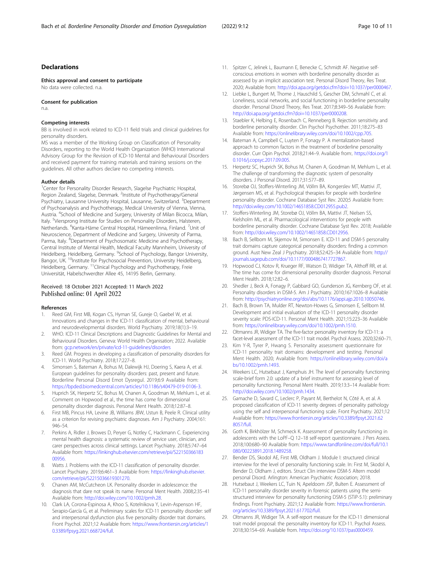#### <span id="page-9-0"></span>Declarations

Ethics approval and consent to participate

No data were collected. n.a.

Consent for publication

n.a.

#### Competing interests

BB is involved in work related to ICD-11 field trials and clinical guidelines for personality disorders.

MS was a member of the Working Group on Classification of Personality Disorders, reporting to the World Health Organization (WHO) International Advisory Group for the Revision of ICD-10 Mental and Behavioural Disorders and received payment for training materials and training sessions on the guidelines. All other authors declare no competing interests.

#### Author details

<sup>1</sup>Center for Personality Disorder Research, Slagelse Psychiatric Hospital, Region Zealand, Slagelse, Denmark. <sup>2</sup>Institute of Psychotherapy/General Psychiatry, Lausanne University Hospital, Lausanne, Switzerland. <sup>3</sup>Department of Psychoanalysis and Psychotherapy, Medical University of Vienna, Vienna, Austria. <sup>4</sup>School of Medicine and Surgery, University of Milan Bicocca, Milan, Italy. <sup>5</sup>Viersprong Institute for Studies on Personality Disorders, Halsteren, Netherlands. <sup>6</sup>Kanta-Häme Central Hospital, Hämeenlinna, Finland. <sup>7</sup>Unit of Neuroscience, Department of Medicine and Surgery, University of Parma, Parma, Italy. <sup>8</sup>Department of Psychosomatic Medicine and Psychotherapy, Central Institute of Mental Health, Medical Faculty Mannheim, University of Heidelberg, Heidelberg, Germany. <sup>9</sup>School of Psychology, Bangor University, Bangor, UK.<sup>10</sup>Institute for Psychosocial Prevention, University Heidelberg, Heidelberg, Germany. 11Clinical Psychology and Psychotherapy, Freie Universität, Habelschwerdter Allee 45, 14195 Berlin, Germany.

## Received: 18 October 2021 Accepted: 11 March 2022

#### References

- Reed GM, First MB, Kogan CS, Hyman SE, Gureje O, Gaebel W, et al. Innovations and changes in the ICD-11 classification of mental, behavioural and neurodevelopmental disorders. World Psychiatry. 2019;18(1):3–19.
- 2. WHO. ICD-11 Clinical Descriptions and Diagnostic Guidelines for Mental and Behavioural Disorders. Geneva: World Health Organisation; 2022. Available from: [gcp.network/en/private/icd-11-guidelines/disorders](http://gcp.network/en/private/icd-11-guidelines/disorders)
- 3. Reed GM. Progress in developing a classification of personality disorders for ICD-11. World Psychiatry. 2018;17:227–8.
- 4. Simonsen S, Bateman A, Bohus M, Dalewijk HJ, Doering S, Kaera A, et al. European guidelines for personality disorders: past, present and future. Borderline Personal Disord Emot Dysregul. 2019;6:9 Available from: [https://bpded.biomedcentral.com/articles/10.1186/s40479-019-0106-3](http://dx.doi.org/10.1186/s40479-019-0106-3).
- 5. Huprich SK, Herpertz SC, Bohus M, Chanen A, Goodman M, Mehlum L, et al. Comment on Hopwood et al., the time has come for dimensional personality disorder diagnosis. Personal Ment Health. 2018;12:87–8.
- First MB, Pincus HA, Levine JB, Williams JBW, Ustun B, Peele R. Clinical utility as a criterion for revising psychiatric diagnoses. Am J Psychiatry. 2004;161: 946–54.
- 7. Perkins A, Ridler J, Browes D, Peryer G, Notley C, Hackmann C. Experiencing mental health diagnosis: a systematic review of service user, clinician, and carer perspectives across clinical settings. Lancet Psychiatry. 2018;5:747–64 Available from: [https://linkinghub.elsevier.com/retrieve/pii/S22150366183](https://linkinghub.elsevier.com/retrieve/pii/S2215036618300956) [00956.](https://linkinghub.elsevier.com/retrieve/pii/S2215036618300956)
- 8. Watts J. Problems with the ICD-11 classification of personality disorder. Lancet Psychiatry. 2019;6:461–3 Available from: [https://linkinghub.elsevier.](https://linkinghub.elsevier.com/retrieve/pii/S2215036619301270) [com/retrieve/pii/S2215036619301270.](https://linkinghub.elsevier.com/retrieve/pii/S2215036619301270)
- 9. Chanen AM, McCutcheon LK. Personality disorder in adolescence: the diagnosis that dare not speak its name. Personal Ment Health. 2008;2:35–41 Available from: [http://doi.wiley.com/10.1002/pmh.28.](http://dx.doi.org/10.1002/pmh.28)
- 10. Clark LA, Corona-Espinosa A, Khoo S, Kotelnikova Y, Levin-Aspenson HF, Serapio-García G, et al. Preliminary scales for ICD-11 personality disorder: self and interpersonal dysfunction plus five personality disorder trait domains. Front Psychol. 2021;12 Available from: [https://www.frontiersin.org/articles/1](http://dx.doi.org/10.3389/fpsyg.2021.668724/full) [0.3389/fpsyg.2021.668724/full](http://dx.doi.org/10.3389/fpsyg.2021.668724/full).
- 11. Spitzer C, Jelinek L, Baumann E, Benecke C, Schmidt AF. Negative selfconscious emotions in women with borderline personality disorder as assessed by an implicit association test. Personal Disord Theory, Res Treat. 2020; Available from: [http://doi.apa.org/getdoi.cfm?doi=10.1037/per0000467.](http://dx.doi.org/10.1037/per0000467)
- 12. Liebke L, Bungert M, Thome J, Hauschild S, Gescher DM, Schmahl C, et al. Loneliness, social networks, and social functioning in borderline personality disorder. Personal Disord Theory, Res Treat. 2017;8:349–56 Available from: [http://doi.apa.org/getdoi.cfm?doi=10.1037/per0000208.](http://dx.doi.org/10.1037/per0000208)
- 13. Staebler K, Helbing E, Rosenbach C, Renneberg B. Rejection sensitivity and borderline personality disorder. Clin Psychol Psychother. 2011;18:275–83 Available from: [https://onlinelibrary.wiley.com/doi/10.1002/cpp.705.](http://dx.doi.org/10.1002/cpp.705)
- 14. Bateman A, Campbell C, Luyten P, Fonagy P. A mentalization-based approach to common factors in the treatment of borderline personality disorder. Curr Opin Psychol. 2018;21:44–9. Available from:. [https://doi.org/1](https://doi.org/10.1016/j.copsyc.2017.09.005) [0.1016/j.copsyc.2017.09.005.](https://doi.org/10.1016/j.copsyc.2017.09.005)
- 15. Herpertz SC, Huprich SK, Bohus M, Chanen A, Goodman M, Mehlum L, et al. The challenge of transforming the diagnostic system of personality disorders. J Personal Disord. 2017;31:577–89.
- 16. Storebø OJ, Stoffers-Winterling JM, Völlm BA, Kongerslev MT, Mattivi JT, Jørgensen MS, et al. Psychological therapies for people with borderline personality disorder. Cochrane Database Syst Rev. 2020;5 Available from: [http://doi.wiley.com/10.1002/14651858.CD012955.pub2.](http://dx.doi.org/10.1002/14651858.CD012955.pub2)
- 17. Stoffers-Winterling JM, Storebø OJ, Völlm BA, Mattivi JT, Nielsen SS, Kielsholm ML, et al. Pharmacological interventions for people with borderline personality disorder. Cochrane Database Syst Rev. 2018; Available from: [http://doi.wiley.com/10.1002/14651858.CD012956.](http://dx.doi.org/10.1002/14651858.CD012956)
- 18. Bach B, Sellbom M, Skjernov M, Simonsen E. ICD-11 and DSM-5 personality trait domains capture categorical personality disorders: finding a common ground. Aust New Zeal J Psychiatry. 2018;52:425–34 Available from: [http://](http://dx.doi.org/10.1177/0004867417727867) [journals.sagepub.com/doi/10.1177/0004867417727867](http://dx.doi.org/10.1177/0004867417727867).
- 19. Hopwood CJ, Kotov R, Krueger RF, Watson D, Widiger TA, Althoff RR, et al. The time has come for dimensional personality disorder diagnosis. Personal Ment Health. 2018;12:82–6.
- 20. Shedler J, Beck A, Fonagy P, Gabbard GO, Gunderson JG, Kernberg OF, et al. Personality disorders in DSM-5. Am J Psychiatry. 2010;167:1026–8 Available from: [http://psychiatryonline.org/doi/abs/10.1176/appi.ajp.2010.10050746](http://dx.doi.org/10.1176/appi.ajp.2010.10050746).
- 21. Bach B, Brown TA, Mulder RT, Newton-Howes G, Simonsen E, Sellbom M. Development and initial evaluation of the ICD-11 personality disorder severity scale: PDS-ICD-11. Personal Ment Health. 2021;15:223–36 Available from: [https://onlinelibrary.wiley.com/doi/10.1002/pmh.1510](http://dx.doi.org/10.1002/pmh.1510).
- 22. Oltmanns JR, Widiger TA. The five-factor personality inventory for ICD-11: a facet-level assessment of the ICD-11 trait model. Psychol Assess. 2020;32:60–71.
- 23. Kim Y-R, Tyrer P, Hwang S. Personality assessment questionnaire for ICD-11 personality trait domains: development and testing. Personal Ment Health. 2020; Available from: [https://onlinelibrary.wiley.com/doi/a](http://dx.doi.org/10.1002/pmh.1493) [bs/10.1002/pmh.1493.](http://dx.doi.org/10.1002/pmh.1493)
- 24. Weekers LC, Hutsebaut J, Kamphuis JH. The level of personality functioning scale-brief form 2.0: update of a brief instrument for assessing level of personality functioning. Personal Ment Health. 2019;13:3–14 Available from: [http://doi.wiley.com/10.1002/pmh.1434](http://dx.doi.org/10.1002/pmh.1434).
- 25. Gamache D, Savard C, Leclerc P, Payant M, Berthelot N, Côté A, et al. A proposed classification of ICD-11 severity degrees of personality pathology using the self and interpersonal functioning scale. Front Psychiatry. 2021;12 Available from: [https://www.frontiersin.org/articles/10.3389/fpsyt.2021.62](http://dx.doi.org/10.3389/fpsyt.2021.628057/full) [8057/full](http://dx.doi.org/10.3389/fpsyt.2021.628057/full).
- 26. Goth K, Birkhölzer M, Schmeck K. Assessment of personality functioning in adolescents with the LoPF–Q 12–18 self-report questionnaire. J Pers Assess. 2018;100:680–90 Available from: [https://www.tandfonline.com/doi/full/10.1](http://dx.doi.org/10.1080/00223891.2018.1489258) [080/00223891.2018.1489258.](http://dx.doi.org/10.1080/00223891.2018.1489258)
- 27. Bender DS, Skodol AE, First MB, Oldham J. Module I: structured clinical interview for the level of personality functioning scale. In: First M, Skodol A, Bender D, Oldham J, editors. Struct Clin interview DSM-5 Altern model personal Disord. Arlington: American Psychiatric Association; 2018.
- 28. Hutsebaut J, Weekers LC, Tuin N, Apeldoorn JSP, Bulten E. Assessment of ICD-11 personality disorder severity in forensic patients using the semistructured interview for personality functioning DSM-5 (STiP-5.1): preliminary findings. Front Psychiatry. 2021;12 Available from: [https://www.frontiersin.](http://dx.doi.org/10.3389/fpsyt.2021.617702/full) [org/articles/10.3389/fpsyt.2021.617702/full](http://dx.doi.org/10.3389/fpsyt.2021.617702/full).
- 29. Oltmanns JR, Widiger TA. A self-report measure for the ICD-11 dimensional trait model proposal: the personality inventory for ICD-11. Psychol Assess. 2018;30:154–69. Available from. [https://doi.org/10.1037/pas0000459.](https://doi.org/10.1037/pas0000459)